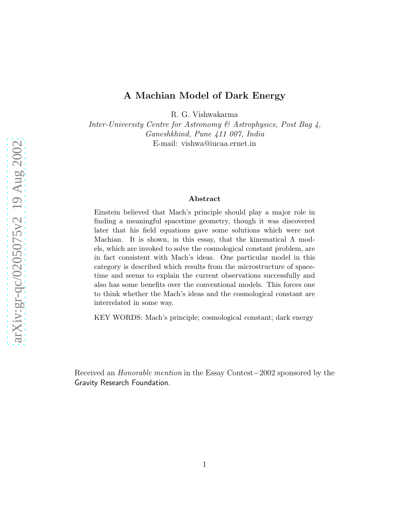## A Machian Model of Dark Energy

R. G. Vishwakarma

Inter-University Centre for Astronomy & Astrophysics, Post Bag 4, Ganeshkhind, Pune 411 007, India E-mail: vishwa@iucaa.ernet.in

## Abstract

Einstein believed that Mach's principle should play a major role in finding a meaningful spacetime geometry, though it was discovered later that his field equations gave some solutions which were not Machian. It is shown, in this essay, that the kinematical  $\Lambda$  models, which are invoked to solve the cosmological constant problem, are in fact consistent with Mach's ideas. One particular model in this category is described which results from the microstructure of spacetime and seems to explain the current observations successfully and also has some benefits over the conventional models. This forces one to think whether the Mach's ideas and the cosmological constant are interrelated in some way.

KEY WORDS: Mach's principle; cosmological constant; dark energy

Received an Honorable mention in the Essay Contest−2002 sponsored by the Gravity Research Foundation.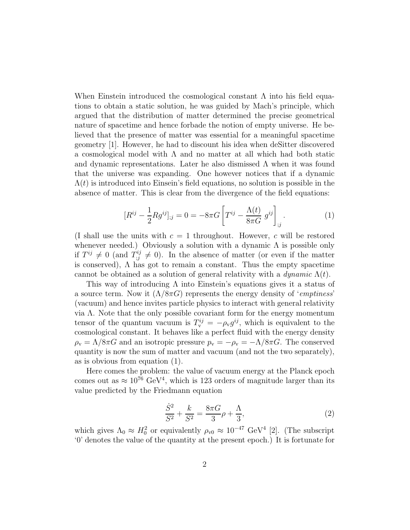When Einstein introduced the cosmological constant  $\Lambda$  into his field equations to obtain a static solution, he was guided by Mach's principle, which argued that the distribution of matter determined the precise geometrical nature of spacetime and hence forbade the notion of empty universe. He believed that the presence of matter was essential for a meaningful spacetime geometry [1]. However, he had to discount his idea when deSitter discovered a cosmological model with  $\Lambda$  and no matter at all which had both static and dynamic representations. Later he also dismissed  $\Lambda$  when it was found that the universe was expanding. One however notices that if a dynamic  $\Lambda(t)$  is introduced into Einsein's field equations, no solution is possible in the absence of matter. This is clear from the divergence of the field equations:

$$
[R^{ij} - \frac{1}{2} R g^{ij}]_{;j} = 0 = -8\pi G \left[ T^{ij} - \frac{\Lambda(t)}{8\pi G} g^{ij} \right]_{;j}.
$$
 (1)

(I shall use the units with  $c = 1$  throughout. However, c will be restored whenever needed.) Obviously a solution with a dynamic  $\Lambda$  is possible only if  $T^{ij} \neq 0$  (and  $T^{ij}_{;j} \neq 0$ ). In the absence of matter (or even if the matter is conserved),  $\Lambda$  has got to remain a constant. Thus the empty spacetime cannot be obtained as a solution of general relativity with a dynamic  $\Lambda(t)$ .

This way of introducing  $\Lambda$  into Einstein's equations gives it a status of a source term. Now it  $(\Lambda/8\pi G)$  represents the energy density of '*emptiness'* (vacuum) and hence invites particle physics to interact with general relativity via Λ. Note that the only possible covariant form for the energy momentum tensor of the quantum vacuum is  $T_{\rm v}^{ij} = -\rho_{\rm v} g^{ij}$ , which is equivalent to the cosmological constant. It behaves like a perfect fluid with the energy density  $\rho_{\rm v} = \Lambda/8\pi G$  and an isotropic pressure  $p_{\rm v} = -\rho_{\rm v} = -\Lambda/8\pi G$ . The conserved quantity is now the sum of matter and vacuum (and not the two separately), as is obvious from equation (1).

Here comes the problem: the value of vacuum energy at the Planck epoch comes out as  $\approx 10^{76} \text{ GeV}^4$ , which is 123 orders of magnitude larger than its value predicted by the Friedmann equation

$$
\frac{\dot{S}^2}{S^2} + \frac{k}{S^2} = \frac{8\pi G}{3}\rho + \frac{\Lambda}{3},\tag{2}
$$

which gives  $\Lambda_0 \approx H_0^2$  or equivalently  $\rho_{v0} \approx 10^{-47} \text{ GeV}^4$  [2]. (The subscript '0' denotes the value of the quantity at the present epoch.) It is fortunate for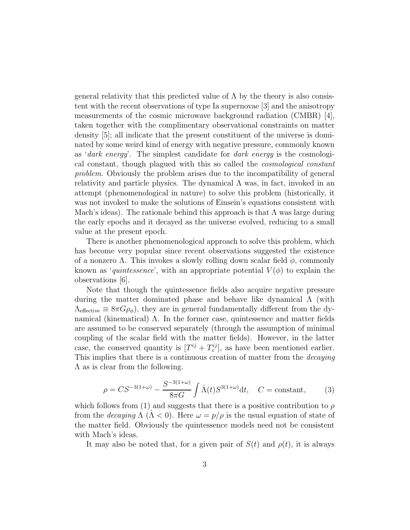general relativity that this predicted value of  $\Lambda$  by the theory is also consistent with the recent observations of type Ia supernovae [3] and the anisotropy measurements of the cosmic microwave background radiation (CMBR) [4], taken together with the complimentary observational constraints on matter density [5]; all indicate that the present constituent of the universe is dominated by some weird kind of energy with negative pressure, commonly known as 'dark energy'. The simplest candidate for dark energy is the cosmological constant, though plagued with this so called the cosmological constant problem. Obviously the problem arises due to the incompatibility of general relativity and particle physics. The dynamical  $\Lambda$  was, in fact, invoked in an attempt (phenomenological in nature) to solve this problem (historically, it was not invoked to make the solutions of Einsein's equations consistent with Mach's ideas). The rationale behind this approach is that  $\Lambda$  was large during the early epochs and it decayed as the universe evolved, reducing to a small value at the present epoch.

There is another phenomenological approach to solve this problem, which has become very popular since recent observations suggested the existence of a nonzero  $\Lambda$ . This invokes a slowly rolling down scalar field  $\phi$ , commonly known as 'quintessence', with an appropriate potential  $V(\phi)$  to explain the observations [6].

Note that though the quintessence fields also acquire negative pressure during the matter dominated phase and behave like dynamical Λ (with  $\Lambda_{\text{effective}} \equiv 8\pi G \rho_{\phi}$ , they are in general fundamentally different from the dynamical (kinematical)  $\Lambda$ . In the former case, quintessence and matter fields are assumed to be conserved separately (through the assumption of minimal coupling of the scalar field with the matter fields). However, in the latter case, the conserved quantity is  $[T^{ij} + T^{ij}_{\mathbf{v}}]$ , as have been mentioned earlier. This implies that there is a continuous creation of matter from the *decaying* Λ as is clear from the following.

$$
\rho = CS^{-3(1+\omega)} - \frac{S^{-3(1+\omega)}}{8\pi G} \int \dot{\Lambda}(t) S^{3(1+\omega)} dt, \quad C = \text{constant}, \tag{3}
$$

which follows from (1) and suggests that there is a positive contribution to  $\rho$ from the *decaying*  $\Lambda$  ( $\Lambda$  < 0). Here  $\omega = p/\rho$  is the usual equation of state of the matter field. Obviously the quintessence models need not be consistent with Mach's ideas.

It may also be noted that, for a given pair of  $S(t)$  and  $\rho(t)$ , it is always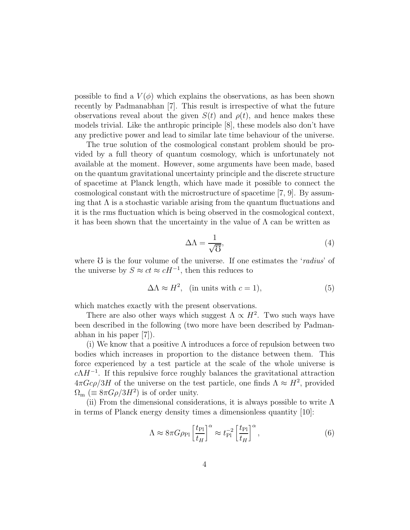possible to find a  $V(\phi)$  which explains the observations, as has been shown recently by Padmanabhan [7]. This result is irrespective of what the future observations reveal about the given  $S(t)$  and  $\rho(t)$ , and hence makes these models trivial. Like the anthropic principle [8], these models also don't have any predictive power and lead to similar late time behaviour of the universe.

The true solution of the cosmological constant problem should be provided by a full theory of quantum cosmology, which is unfortunately not available at the moment. However, some arguments have been made, based on the quantum gravitational uncertainty principle and the discrete structure of spacetime at Planck length, which have made it possible to connect the cosmological constant with the microstructure of spacetime [7, 9]. By assuming that  $\Lambda$  is a stochastic variable arising from the quantum fluctuations and it is the rms fluctuation which is being observed in the cosmological context, it has been shown that the uncertainty in the value of  $\Lambda$  can be written as

$$
\Delta \Lambda = \frac{1}{\sqrt{0}},\tag{4}
$$

where  $\mathcal{U}$  is the four volume of the universe. If one estimates the 'radius' of the universe by  $S \approx ct \approx cH^{-1}$ , then this reduces to

$$
\Delta \Lambda \approx H^2, \quad \text{(in units with } c = 1), \tag{5}
$$

which matches exactly with the present observations.

There are also other ways which suggest  $\Lambda \propto H^2$ . Two such ways have been described in the following (two more have been described by Padmanabhan in his paper [7]).

(i) We know that a positive  $\Lambda$  introduces a force of repulsion between two bodies which increases in proportion to the distance between them. This force experienced by a test particle at the scale of the whole universe is  $c\Lambda H^{-1}$ . If this repulsive force roughly balances the gravitational attraction  $4\pi Gc\rho/3H$  of the universe on the test particle, one finds  $\Lambda \approx H^2$ , provided  $\Omega_{\rm m}$  (=  $8\pi G\rho/3H^2$ ) is of order unity.

(ii) From the dimensional considerations, it is always possible to write  $\Lambda$ in terms of Planck energy density times a dimensionless quantity [10]:

$$
\Lambda \approx 8\pi G\rho_{\rm Pl} \left[\frac{t_{\rm Pl}}{t_H}\right]^{\alpha} \approx t_{\rm Pl}^{-2} \left[\frac{t_{\rm Pl}}{t_H}\right]^{\alpha},\tag{6}
$$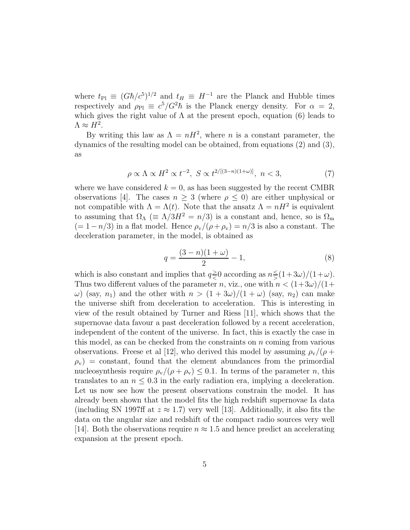where  $t_{\text{Pl}} \equiv (G\hbar/c^5)^{1/2}$  and  $t_H \equiv H^{-1}$  are the Planck and Hubble times respectively and  $\rho_{\text{Pl}} \equiv c^5/G^2\hbar$  is the Planck energy density. For  $\alpha = 2$ , which gives the right value of  $\Lambda$  at the present epoch, equation (6) leads to  $\Lambda \approx H^2$ .

By writing this law as  $\Lambda = nH^2$ , where *n* is a constant parameter, the dynamics of the resulting model can be obtained, from equations (2) and (3), as

$$
\rho \propto \Lambda \propto H^2 \propto t^{-2}, \ S \propto t^{2/[(3-n)(1+\omega)]}, \ n < 3,
$$
\n<sup>(7)</sup>

where we have considered  $k = 0$ , as has been suggested by the recent CMBR observations [4]. The cases  $n \geq 3$  (where  $\rho \leq 0$ ) are either unphysical or not compatible with  $\Lambda = \Lambda(t)$ . Note that the ansatz  $\Lambda = nH^2$  is equivalent to assuming that  $\Omega_{\Lambda}$  ( $\equiv \Lambda/3H^2 = n/3$ ) is a constant and, hence, so is  $\Omega_{\rm m}$  $(= 1-n/3)$  in a flat model. Hence  $\rho_{\rm v}/(\rho+\rho_{\rm v}) = n/3$  is also a constant. The deceleration parameter, in the model, is obtained as

$$
q = \frac{(3-n)(1+\omega)}{2} - 1,\tag{8}
$$

which is also constant and implies that  $q \geq$  $\geq 0$  according as  $n \leq$  $\frac{\leq}(1+3\omega)/(1+\omega).$ Thus two different values of the parameter n, viz., one with  $n < (1+3\omega)/(1+$  $\omega$ ) (say, n<sub>1</sub>) and the other with  $n > (1 + 3\omega)/(1 + \omega)$  (say, n<sub>2</sub>) can make the universe shift from deceleration to acceleration. This is interesting in view of the result obtained by Turner and Riess [11], which shows that the supernovae data favour a past deceleration followed by a recent acceleration, independent of the content of the universe. In fact, this is exactly the case in this model, as can be checked from the constraints on  $n$  coming from various observations. Freese et al [12], who derived this model by assuming  $\rho_{\rm v}/(\rho +$  $\rho_{\rm v}$  = constant, found that the element abundances from the primordial nucleosynthesis require  $\rho_{\rm v}/(\rho + \rho_{\rm v}) \leq 0.1$ . In terms of the parameter n, this translates to an  $n \leq 0.3$  in the early radiation era, implying a deceleration. Let us now see how the present observations constrain the model. It has already been shown that the model fits the high redshift supernovae Ia data (including SN 1997ff at  $z \approx 1.7$ ) very well [13]. Additionally, it also fits the data on the angular size and redshift of the compact radio sources very well [14]. Both the observations require  $n \approx 1.5$  and hence predict an accelerating expansion at the present epoch.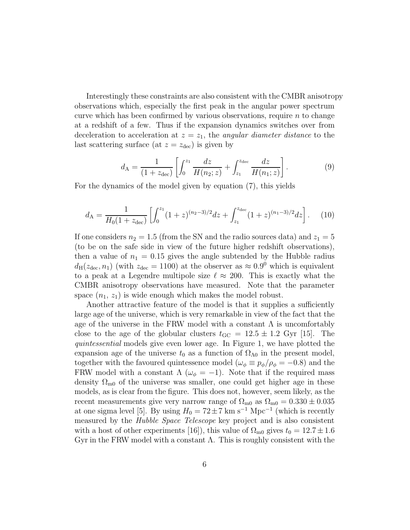Interestingly these constraints are also consistent with the CMBR anisotropy observations which, especially the first peak in the angular power spectrum curve which has been confirmed by various observations, require  $n$  to change at a redshift of a few. Thus if the expansion dynamics switches over from deceleration to acceleration at  $z = z_1$ , the angular diameter distance to the last scattering surface (at  $z = z_{\text{dec}}$ ) is given by

$$
d_{\rm A} = \frac{1}{(1+z_{\rm dec})} \left[ \int_0^{z_1} \frac{dz}{H(n_2; z)} + \int_{z_1}^{z_{\rm dec}} \frac{dz}{H(n_1; z)} \right]. \tag{9}
$$

For the dynamics of the model given by equation (7), this yields

$$
d_{\rm A} = \frac{1}{H_0(1+z_{\rm dec})} \left[ \int_0^{z_1} (1+z)^{(n_2-3)/2} dz + \int_{z_1}^{z_{\rm dec}} (1+z)^{(n_1-3)/2} dz \right]. \tag{10}
$$

If one considers  $n_2 = 1.5$  (from the SN and the radio sources data) and  $z_1 = 5$ (to be on the safe side in view of the future higher redshift observations), then a value of  $n_1 = 0.15$  gives the angle subtended by the Hubble radius  $d_H(z_{\text{dec}}, n_1)$  (with  $z_{\text{dec}} = 1100$ ) at the observer as  $\approx 0.9^{\circ}$  which is equivalent to a peak at a Legendre multipole size  $\ell \approx 200$ . This is exactly what the CMBR anisotropy observations have measured. Note that the parameter space  $(n_1, z_1)$  is wide enough which makes the model robust.

Another attractive feature of the model is that it supplies a sufficiently large age of the universe, which is very remarkable in view of the fact that the age of the universe in the FRW model with a constant  $\Lambda$  is uncomfortably close to the age of the globular clusters  $t_{\text{GC}} = 12.5 \pm 1.2$  Gyr [15]. The quintessential models give even lower age. In Figure 1, we have plotted the expansion age of the universe  $t_0$  as a function of  $\Omega_{\Lambda 0}$  in the present model, together with the favoured quintessence model ( $\omega_{\phi} \equiv p_{\phi}/\rho_{\phi} = -0.8$ ) and the FRW model with a constant  $\Lambda(\omega_{\phi}=-1)$ . Note that if the required mass density  $\Omega_{\text{m0}}$  of the universe was smaller, one could get higher age in these models, as is clear from the figure. This does not, however, seem likely, as the recent measurements give very narrow range of  $\Omega_{\text{m0}}$  as  $\Omega_{\text{m0}} = 0.330 \pm 0.035$ at one sigma level [5]. By using  $H_0 = 72 \pm 7$  km s<sup>-1</sup> Mpc<sup>-1</sup> (which is recently measured by the Hubble Space Telescope key project and is also consistent with a host of other experiments [16]), this value of  $\Omega_{\text{m0}}$  gives  $t_0 = 12.7 \pm 1.6$ Gyr in the FRW model with a constant  $\Lambda$ . This is roughly consistent with the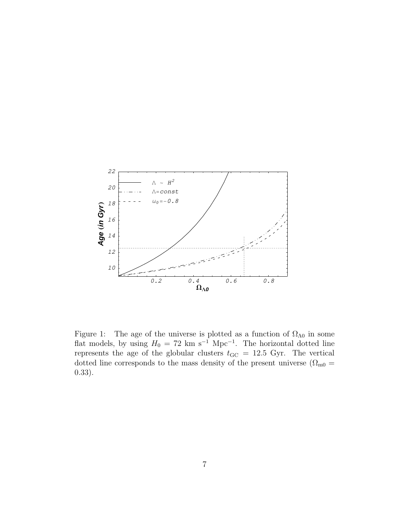

Figure 1: The age of the universe is plotted as a function of  $\Omega_{\Lambda 0}$  in some flat models, by using  $H_0 = 72 \text{ km s}^{-1} \text{ Mpc}^{-1}$ . The horizontal dotted line represents the age of the globular clusters  $t_{\text{GC}} = 12.5$  Gyr. The vertical dotted line corresponds to the mass density of the present universe ( $\Omega_{\rm m0}$  = 0.33).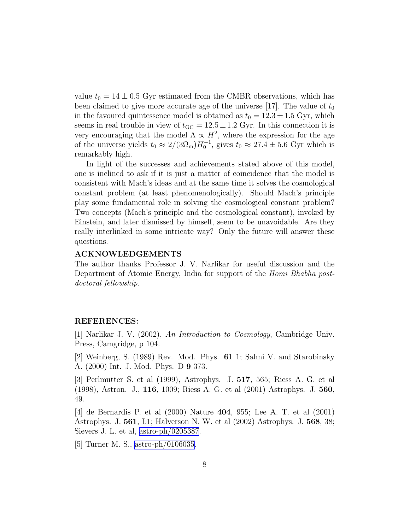value  $t_0 = 14 \pm 0.5$  Gyr estimated from the CMBR observations, which has been claimed to give more accurate age of the universe [17]. The value of  $t_0$ in the favoured quintessence model is obtained as  $t_0 = 12.3 \pm 1.5$  Gyr, which seems in real trouble in view of  $t_{\text{GC}} = 12.5 \pm 1.2$  Gyr. In this connection it is very encouraging that the model  $\Lambda \propto H^2$ , where the expression for the age of the universe yields  $t_0 \approx 2/(3\Omega_m)H_0^{-1}$ , gives  $t_0 \approx 27.4 \pm 5.6$  Gyr which is remarkably high.

In light of the successes and achievements stated above of this model, one is inclined to ask if it is just a matter of coincidence that the model is consistent with Mach's ideas and at the same time it solves the cosmological constant problem (at least phenomenologically). Should Mach's principle play some fundamental role in solving the cosmological constant problem? Two concepts (Mach's principle and the cosmological constant), invoked by Einstein, and later dismissed by himself, seem to be unavoidable. Are they really interlinked in some intricate way? Only the future will answer these questions.

## ACKNOWLEDGEMENTS

The author thanks Professor J. V. Narlikar for useful discussion and the Department of Atomic Energy, India for support of the Homi Bhabha postdoctoral fellowship.

## REFERENCES:

[1] Narlikar J. V. (2002), An Introduction to Cosmology, Cambridge Univ. Press, Camgridge, p 104.

[2] Weinberg, S. (1989) Rev. Mod. Phys. 61 1; Sahni V. and Starobinsky A. (2000) Int. J. Mod. Phys. D 9 373.

[3] Perlmutter S. et al (1999), Astrophys. J. 517, 565; Riess A. G. et al (1998), Astron. J., 116, 1009; Riess A. G. et al (2001) Astrophys. J. 560, 49.

[4] de Bernardis P. et al (2000) Nature 404, 955; Lee A. T. et al (2001) Astrophys. J. 561, L1; Halverson N. W. et al (2002) Astrophys. J. 568, 38; Sievers J. L. et al, [astro-ph/0205387](http://arxiv.org/abs/astro-ph/0205387).

[5] Turner M. S., [astro-ph/0106035.](http://arxiv.org/abs/astro-ph/0106035)